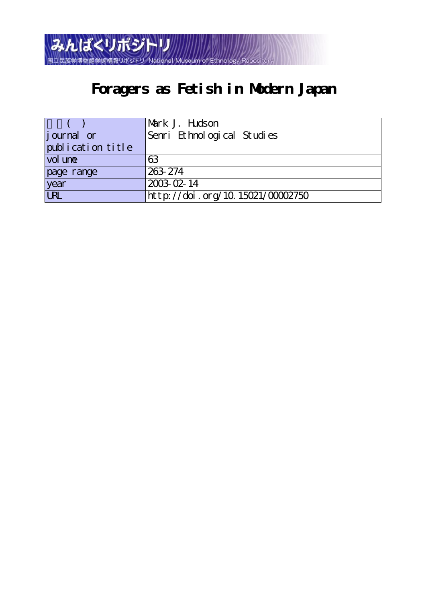

# **Foragers as Fetish in Modern Japan**

|                   | Mark J. Hudson                   |
|-------------------|----------------------------------|
| journal or        | Senri Ethnological Studies       |
| publication title |                                  |
| vol une           | 63                               |
| page range        | 263-274                          |
| year              | 2003-02-14                       |
| URL               | http://doi.org/10.15021/00002750 |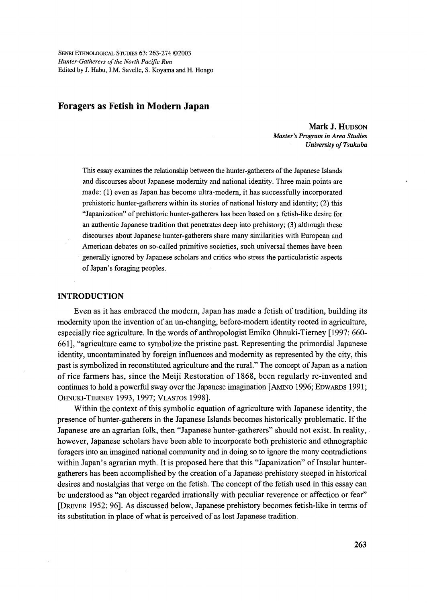SENRI ETHNoLoGIcAL STuDIEs 63: 263-274 @2003 Hunter-Gatherers of the North Pacific Rim Edited by J. Habu, J.M. Savelle, S. Koyama and H. Hongo

# Foragers as Fetish in Modern Japan

 Mark J. HuDsoN Master's Program in Area Studies University of Tsukuba

This essay exarnines the relationship between the hunter-gatherers of the Japanese Islands and discourses about Japanese modernity and national identity. Three main points are made: (1) even as Japan has become ultra-modern, it has successfully incorporated prehistoric hunter-gatherers within its stories of national history and identity; (2) this "Japanization" of prehistoric hunter-gatherers has been based on a fetish-like desire for an authentic Japanese tradition that penetrates deep into prehistory; (3) although these discourses ahout Japanese hunter-gatherers share many similarities with European and American debates on so-called primitive societies, such universal themes have been generally ignored by Japanese scholars and critics who stress the panicularistic aspects of Japan's foraging peoples.

# INTRODUCTION

Even as it has embraced the modern, Japan has made a fetish of tradition, building its modernity upon the invention of an un-changing, before-modern identity rooted in agriculture, especially rice agriculture. In the words of anthropologist Emiko Ohnuki-Tierney [1997: 660- 661], "agriculture came to symbolize the pristine past. Representing the primordial Japanese identity, uncontaminated by foreign influences and modernity as represented by the city, this past is symbolized in reconstituted agriculture and the rural." The concept of Japan as a nation of rice farmers has, since the Meiji Restoration of 1868, been regularly re-invented and continues to hold a powerful sway over the Japanese imagination [AMINO 1996; EDWARDS 1991; OHNuKI-TIERNEy 1993, 1997; VLAsTos 1998].

 Within the context of this symbolic equation of agriculture with Japanese identity, the presence of hunter-gatherers in the Japanese Islands becomes historically problematic. If the Japanese are an agrarian fblk, then "Japanese hunter-gatherers" should not exist. In reality, however, Japanese scholars have been able to incorporate both prehistoric and ethnographic foragers into an imagined national community and in doing so to ignore the many contradictions within Japan's agrarian myth. It is proposed here that this "Japanization" of Insular huntergatherers has been accomplished by the creation ofa Japanese prehistory steeped in historical desires and nostalgias that verge on the fetish. The concept of the fetish used in this essay can be understood as "an object regarded irrationally with peculiar reverence or affection or fear" [DREvER 1952: 96]. As discussed below, Japanese prehistory becomes fetish-like in terms of its substitution in place of what is perceived of as lost Japanese tradition.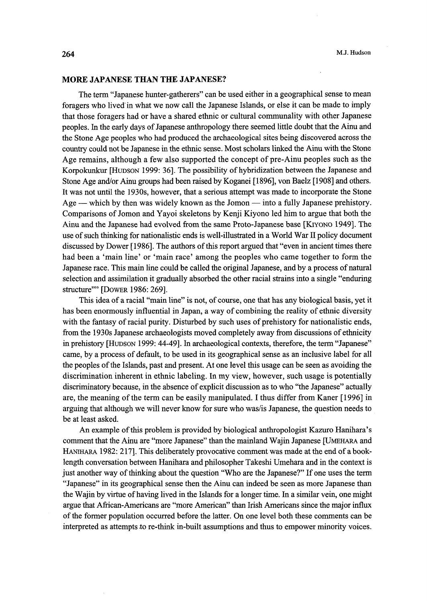## MORE JAPANESE THAN THE JAPANESE?

 The term "Japanese hunter-gatherers" can be used either in a geographical sense to mean foragers who lived'in what we now call the Japanese Islands, or else it can be made to imply that those foragers had or have a shared ethnic or cultural communality with other Japanese peoples. In the early days of Japanese anthropology there seemed little doubt that the Ainu and the Stone Age peoples who had produced the archaeological sites being discovered across the country could not be Japanese in the ethnic sense. Most scholars linked the Ainu with the Stone Age remains, although a few also supported the concept of pre-Ainu peoples such as the Korpokunkur [HUDSON 1999: 36]. The possibility of hybridization between the Japanese and Stone Age and/or Ainu groups had been raised by Koganei [1896], von Baelz [1908] and others. It was not unti1 the 1930s, however, that a serious attempt was made to incorporate the Stone Age  $-$  which by then was widely known as the Jomon  $-$  into a fully Japanese prehistory. Comparisons of Jomon and Yayoi skeletons by Keaji Kiyono led him to argue that both the Ainu and the Japanese had evolved from the same Proto-Japanese base [KiyoNo 1949]. The use of such thinking for nationalistic ends is well-illustrated in a World War II policy document discussed by Dower [1986]. The authors ofthis report argued that "even in ancient times there had been a 'main line' or 'main race' among the peoples who came together to form the Japanese race. This main line could be called the original Japanese, and by a process of natural selection and assimilation it gradually absorbed the other racial strains into a single "enduring stmcture'"' [DowER 1986: 269].

This idea of a racial "main line" is not, of course, one that has any biological basis, yet it has been enormously influential in Japan, a way of combining the reality of ethnic diversity with the fantasy of racial purity. Disturbed by such uses of prehistory for nationalistic ends, from the 1930s Japanese archaeologists moved completely away from discussions of ethnicity in prehistory [HUDSON 1999: 44-49]. In archaeological contexts, therefore, the term "Japanese" came, by a process of default, to be used in its geographical sense as an inclusive label for all the peoples ofthe Islands, past and present. At one level this usage can be seen as avoiding the discrimination inherent in ethnic labeling. In my view, however, such usage is potentially discriminatory because, in the absence of explicit discussion as to who "the Japanese" actually are, the meaning of the term can be easily manipulated. I thus differ from Kaner [1996] in arguing that although we will never know for sure who was/ is Japanese, the question needs to be at least asked.

 An example ofthis problem is provided by biological anthropologist Kazuro Hanihara's comment that the Ainu are "more Japanese" than the mainland Wajin Japanese [UMEHARA and HANIHARA 1982: 217]. This deliberately provocative comment was made at the end ofa booklength conversation between Hanihara and philosopher Takeshi Umehara and in the context is just another way of thinking about the question "Who are the Japanese?" If one uses the term "Japanese" in its geographical sense then the Ainu can indeed be seen as more Japanese than the Wajin by virtue of having lived in the Islands for a longer time. In a similar vein, one might argue that African-Americans are "more American" than Irish Americans since the major influx of the former population occurred before the latter. On one level both these comments can be interpreted as attempts to re-think in-built assumptions and thus to empower minority voices.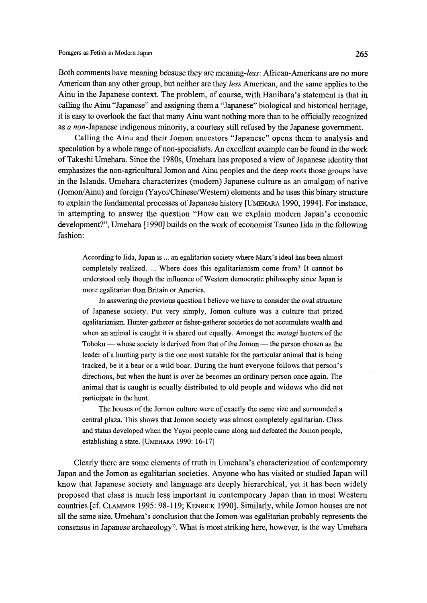Both comments have meaning because they are meaning-less: African-Americans are no more American than any other group, but neither are they less American, and the same applies to the Ainu in the Japanese context. The problem, of course, with Hanihara's statement is that in calling the Ainu "Japanese" and assigning them a "Japanese" biological and historical heritage, it is easy to overlook the fact that many Ainu want nothing more than to be officially recognized as a non-Japanese indigenous minority, a courtesy still refused by the Japanese government.

 Calling the Ainu and their Jomon ancestors "Japanese" opens them to analysis and speculation by a whole range of non-specialists. An excellent example can be found in the work of Takeshi Umehara. Since the 1980s, Umehara has proposed a view of Japanese identity that emphasizes the non-agricultural Jomon and Ainu peoples and the deep roots those groups have in the Islands. Umehara characterizes (modern) Japanese culture as an amalgam of native (Jomon/Ainu) and foreign (Yayoi/Chinese/Western) elements and he uses this binary structure to explain the fundamental processes of Japanese history [UMEHARA 1990, 1994]. For instance, in attempting to answer the question "How can we explain modern Japan's economic development?", Umehara [1990] builds on the work of economist Tsuneo Iida in the following fashion:

According to Iida, Japan is ... an egalitarian society where Marx's ideal has been almost completely realized. ... Where does this egalitarianism come from? It cannot be understood only though the influence of Western democratic philosophy since Japan is more egalitarian than Britain or America.

 In answering the previous question I believe we have to consider the oval structure of Japanese society. Put very simply, Jomon culture was a culture that prized egalitarianism. Hunter-gatherer or fisher-gatherer societies do not accumulate wealth and when an animal is caught it is shared out equally. Amongst the *matagi* hunters of the Tohoku — whose society is derived from that of the Jomon — the person chosen as the leader of a hunting party is the one most suitable for the particular animal that is being tracked, be it a bear or a wild boar. During the hunt everyone fbllows that person's directions, but when the hunt is over he becomes an ordinary person once again. The animal that is caught is equally distributed to old people and widows who did not participate in the hunt.

The houses of the Jomon culture were of exactly the same size and surrounded a central plaza. This shows that Jomon society was almost completely egalitarian. Class and status developed when the Yayoi people came along and defeated the Jomon people, establishing a state. [UMEHARA 1990: 16-17]

 Clearly there are some elements of tmth in Umehara's characterization of contemporary Japan and the Jomon as egalitarian societies. Anyone who has visited or studied Japan will know that Japanese society and language are deeply hierarchical, yet it has been widely proposed that class is much less important in contemporary Japan than in most Western countries [c£ CLAMMER 1995: 98-1 19; KENRicK 1990]. Similarly, while Jomon houses are not all the same size, Umehara's conclusion that the Jomon was egalitarian probal)ly represents the consensus in Japanese archaeology<sup>1)</sup>. What is most striking here, however, is the way Umehara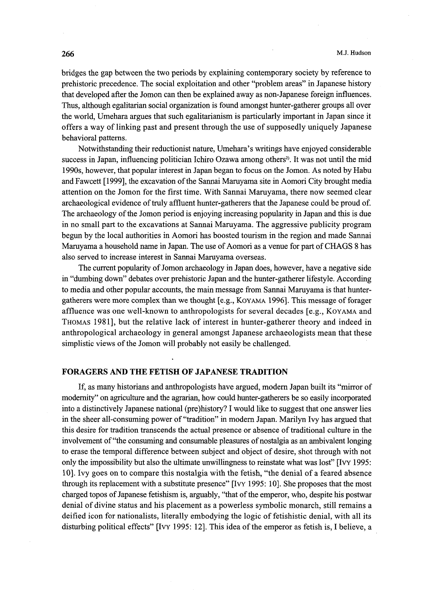bridges the gap between the two periods by explaining contemporary society by reference to prehistoric precedence. The social exploitation and other "problem areas" in Japanese history that developed after the Jomon can then be explained away as non-Japanese foreign influences, Thus, although egalitarian social organization is found amongst hunter-gatherer groups all over the world, Umehara argues that such egalitarianism is particularly important in Japan since it offers a way of linking past and present through the use of supposedly uniquely Japanese behavioral patterns.

 Notwithstanding their reductionist nature, Umehara's writings have eajoyed considerable success in Japan, influencing politician Ichiro Ozawa among others<sup>2</sup>). It was not until the mid 1990s, however, that popular interest in Japan began to focus on the Jomon. As noted by Habu and Fawcett [1999], the excavation of the Sannai Maruyama site in Aomori City brought media attention on the Jomon for the first time. With Sannai Maruyama, there now seemed clear archaeological evidence of tmly affluent hunter-gatherers that the Japanese could be proud of The archaeology of the Jomon period is enjoying increasing popularity in Japan and this is due in no small part to the excavations at Sannai Maruyama. The aggressive publicity program begun by the local authorities in Aomori has boosted tourism in the region and made Sannai Maruyama a household name in Japan. The use of Aomori as a venue for part of CHAGS 8 has also served to increase interest in Sannai Maruyama overseas.

The current popularity of Jomon archaeology in Japan does, however, have a negative side in "dumbing down" debates over prehistoric Japan and the hunter-gatherer lifestyle. According to media and other popular accounts, the main message from Sannai Maruyama is that huntergatherers were more complex than we thought [e.g., KoyAMA 1996]. This message of forager afftuence was one well-known to anthropologists for several decades [e.g., KoyAMA and THoMAs 1981], but the relative lack of interest in hunter-gatherer theory and indeed in anthropological archaeology in general amongst Japanese archaeologists mean that these simplistic views of the Jomon will probably not easily be challenged.

# FORAGERS AND THE FETISH OF JAPANESE TRADITION

If, as many historians and anthropologists have argued, modern Japan built its "mirror of modernity" on agriculture and the agrarian, how could hunter-gatherers be so easily incorporated into a distinctively Japanese national (pre)history? I would like to suggest that one answer lies in the sheer all-consuming power of "tradition" in modern Japan. Marilyn Ivy has argued that this desire fbr tradition transcends the actuai presence or absence of traditional culture in the involvement of "the consuming and consumable pleasures of nostalgia as an ambivalent longing to erase the temporal difference between subject and object of desire, shot through with not only the impossibility but also the ultimate unwillingness to reinstate what was lost" [Ivy 1995: 1O]. Ivy goes on to compare this nostalgia with the fetish, "the denial of a feared absence through its replacement with a substitute presence" [Ivy 1995: 1O]. She proposes that the most charged topos of Japanese fetishism is, arguably, "that of the emperor, who, despite his postwar denial of divine status and his placement as a powerless symbolic monarch, still remains a deified icon for nationalists, literally embodying the logic of fetishistic denial, with all its disturbing political effects" [Ivy 1995: 12]. This idea of the emperor as fetish is, I believe, a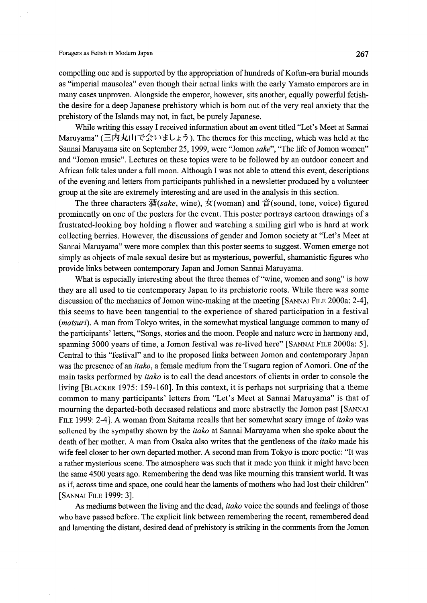## Foragers as Fetish in Modern Japan 267 and the Setiesh of the Setiesh 267 and 267 and 267 and 267 and 267 and 267 and 267 and 267 and 267 and 267 and 267 and 267 and 267 and 267 and 267 and 267 and 267 and 267 and 267 and

compelling one and is supported by the appropriation of hundreds of Kofun-era burial mounds as "imperial mausolea" even though their actual links with the early Yamato emperors are in many cases unproven. Alongside the emperor, however, sits another, equally powerfu1 fetishthe desire for a deep Japanese prehistory which is born out of the very real anxiety that the prehistory of the Islands may not, in fact, be purely Japanese.

While writing this essay I received information about an event titled "Let's Meet at Sannai Maruyama" (三内丸山で会いましょう). The themes for this meeting, which was held at the Sannai Maruyama site on September 25, 1999, were "Jomon sake", "The life of Jomon women" and "Jomon music". Lectures on these topics were to be fbllowed by an outdoor concert and African folk tales under a full moon. Although I was not able to attend this event, descriptions of the evening and letters from participants published in a newsletter produced by a volunteer group at the site are extremely interesting and are used in the analysis in this section.

The three characters  $\mathcal{B}(sake, \text{ wine})$ ,  $\dot{\mathcal{F}}(\text{woman})$  and  $\dot{\mathcal{F}}(\text{sound}, \text{tone}, \text{voice})$  figured prominently on one of the posters for the event. This poster portrays cartoon drawings of a fimstrated-looking boy holding a flower and watching a smiling girl who is hard at work collecting berries. However, the discussions of gender and Jomon society at "Let's Meet at Sannai Maruyama" were more complex than this poster seems to suggest. Women emerge not simply as objects of male sexual desire but as mysterious, powerful, shamanistic figures who provide links between contemporary Japan and Jomon Sannai Maruyama.

What is especially interesting about the three themes of "wine, women and song" is how they are all used to tie contemporary Japan to its prehistoric roots. While there was some discussion of the mechanics of Jomon wine-making at the meeting [SANNAI FILE 2000a: 2-4], this seems to have been tangential to the experience of shared participation in a festival (matsuri). A man from Tokyo writes, in the somewhat mystical language common to many of the participants' letters, "Songs, stories and the moon. People and nature were in harmony and, spanning 5000 years of time, a Jomon festival was re-lived here" [SANNAI FILE 2000a: 5]. Central to this "festival" and to the proposed links between Jomon and contemporary Japan was the presence of an *itako*, a female medium from the Tsugaru region of Aomori. One of the main tasks performed by *itako* is to call the dead ancestors of clients in order to console the living [BLAcKER 1975: 159-160]. In this context, it is perhaps not surprising that a theme common to many panicipants' letters from "Let's Meet at Sannai Maruyama" is that of mourning the departed-both deceased relations and more abstractly the Jomon past [SANNAi FILE 1999: 2-4]. A woman from Saitama recalls that her somewhat scary image of *itako* was softened by the sympathy shown by the *itako* at Sannai Maruyama when she spoke about the death of her mother. A man from Osaka also writes that the gentleness of the *itako* made his wife feel closer to her own departed mother. A second man from Tokyo is more poetic: "It was a rather mysterious scene. The atmosphere was such that it made you think it might have been the same 4500 years ago. Remembering the dead was like mourning this transient world. It was as if, across time and space, one could hear the laments of mothers who had lost their children" [SANNAI FILE 1999: 3].

As mediums between the living and the dead, *itako* voice the sounds and feelings of those who have passed before. The explicit link between remembering the recent, remembered dead and lamenting the distant, desired dead of prehistory is striking in the comments from the Jomon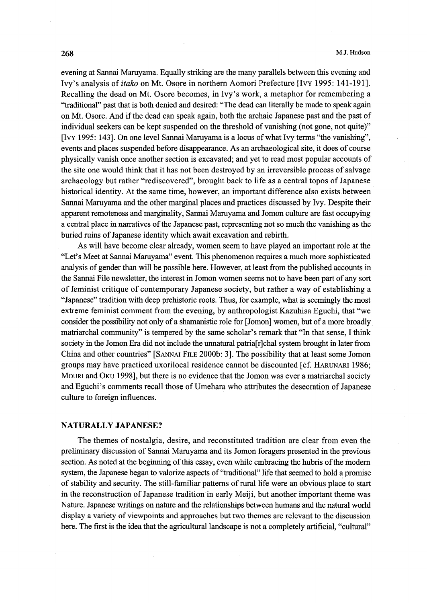evening at Sarmai Maruyama. Equally striking are the many parallels between this evening and Ivy's analysis of itako on Mt. Osore in northern Aomori Prefecture [Ivy 1995: 141-191]. Recalling the dead on Mt. Osore becomes, in Ivy's work, a metaphor for remembering a "traditional" past that is both denied and desired: "Ihe dead can literally be made to speak again on Mt. Osore. And if the dead can speak again, both the archaic Japanese past and the past of individual seekers can be kept suspended on the threshold of vanishing (not gone, not quite)" [Ivy 1995: l43]. On one level Sannai Maruyama is a locus ofwhat Ivy terrns "the vanishing", events and places suspended before disappearance. As an archaeological site, it does of course physically vanish once another section is excavated; and yet to read most popular accounts of the site one would think that it has not been destroyed by an irreversible process of salvage archaeology but rather "rediscovered", brought back to life as a central topos of Japanese historical identity. At the same time, however, an important difference also exists between Sannai Maruyama and the other marginal places and practices discussed by Ivy. Despite their apparent remoteness and marginality, Sannai Maruyama and Jomon culture are fast occupying a central place in narratives ofthe Japanese past, representing not so much the vanishing as the buried ruins of Japanese identity which await excavation and rebirth.

 As will have become clear already, women seem to have played an important role at the "Let's Meet at Sannai Maruyama" event. This phenomenon requires a much more sophisticated analysis of gender than will be possible here. However, at least from the published accounts in the Sannai File newsletter, the interest in Jomon women seems not to have been part ofany sort of feminist critique of contemporary Japanese society, but rather a way ofestablishing a "Japanese" tradition with deep prehistoric roots. Ihus, for example, what is seemingly the most extreme feminist comment from the evening, by anthropologist Kazuhisa Eguchi, that "we consider the possibility not only of a shamanistic role for [Jomon] women, but of a more broadly matriarchal community" is tempered by the same scholar's remark that "In that sense, I think society in the Jomon Era did not include the unnatural patria[r]chal system brought in later from China and other countries" [SANNAi FiLE 2000b: 3]. The possibility that at least some Jomon groups may have practiced uxorilocal residence cannot be discounted [Cf. HARuNARi 1986; MouRi and OKu 1998], but there is no evidence that the Jomon was ever a matriarchal society and Eguchi's comments recall those of Umehara who attributes the desecration of Japanese culture to foreign influences.

#### NATURALLY JAPANESE?

 The themes of nostalgia, desire, and reconstituted tradition are clear from even the preliminary discussion of Sannai Maruyama and its Jomon foragers presented in the previous section. As noted at the beginning of this essay, even while embracing the hubris of the modern system, the Japanese began to valorize aspects of "traditional" life that seemed to hold a promise of stability and security. The still-familiar patterns of rural life were an obvious place to start in the reconstruction of Japanese tradition in early Meiji, but another important theme was Nature. Japanese writings on nature and the relationships between humans and the natural world display a variety of viewpoints and approaches but two themes are relevant to the discussion here. The first is the idea that the agricultural landscape is not a completely artificial, "cultural"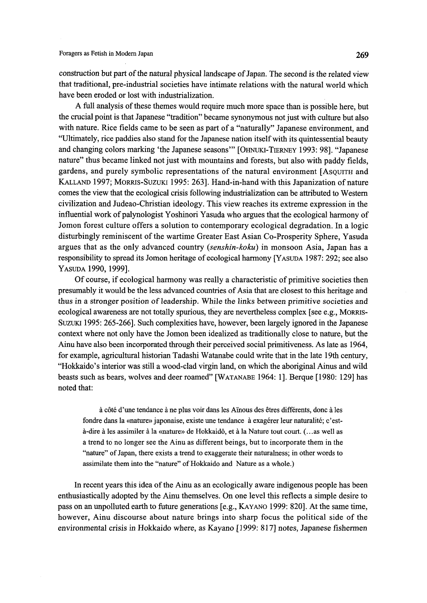construction but part of the natural physical landscape of Japan. The second is the related view that traditional, pre-industrial societies have intimate relations with the natural world which have been eroded or lost with indnstrialization.

 A fuII analysis ofthese themes would require much more space than is possible here, but the crucial poim is that Japanese "tradition" became synonymous not just with culture but also with nature. Rice fields came to be seen as part of a "naturally" Japanese environment, and "Ultimately, rice paddies also stand for the Japanese nation itselfwith its quintessential beauty and changing colors marking 'the Japanese seasons'" [OHNUKI-TIERNEY 1993: 98]. "Japanese nature" thus became linked not just with mountains and forests, but also with paddy fields, gardens, and purely symbolic representations of the natural environment [AsQuiTH and KALLAND 1997; MORRIS-SUZUKI 1995: 2631. Hand-in-hand with this Japanization of nature comes the view that the ecological crisis fo11owing indnstrialization can be attributed to Western civilization and Judeao-Christian ideology. This view reaches its extreme expression in the influential work of palynologist Yoshinori Yasuda who argues that the ecological harmony of Jomon fbrest culture offers a solution to contemporary ecological degradation. In a logic disturbingly reminiscent of the wartime Greater East Asian Co-Prosperity Sphere, Yasuda argues that as the oniy advanced country (senshin-koku) in monsoon Asia, Japan has a responsibility to spread its Jomon heritage of ecological harmony [YASUDA 1987: 292; see also YAsuDA 1990, 1999].

Of course, if ecological harmony was really a characteristic of primitive societies then presumably it would be the less advanced countries of Asia that are closest to this heritage and thus in a stronger position ofleadership. While the links between primitive societies and ecological awareness are not tota11y spurious, they are nevenheless complex [see e.g., MoRRis-SUZUKI 1995: 265-266]. Such complexities have, however, been largely ignored in the Japanese context where not only have the Jomon been idealized as traditionally close to nature, but the Ainu have also been incorporated through their perceived social primitiveness. As late as 1964, for example, agricultural historian Tadashi Watanabe could write that in the late 19th century, "Hokkaido's interior was still a wood-clad virgin land, on which the aboriginal Ainus and wild beasts such as bears, wolves and deer roamed" [WATANABE 1964: 1]. Berque [1980: 129] has noted that:

à côté d'une tendance à ne plus voir dans les Aïnous des êtres différents, donc à les fondre dans la «nature» japonaise, existe une tendance à exagérer leur naturalité; c'està-dire à les assimiler à la «nature» de Hokkaidô, et à la Nature tout court. (... as well as a trend to no longer see the Ainu as different beings, but to incorporate them in the "nature" of Japan, there exists a trend to exaggerate their naturalness; in other words to assimilate them into the "nature" of Hokkaido and Nature as a whole.)

 In recent years this idea of the Ainu as an ecologically aware indigenous people has been enthusiastically adopted by the Ainu themselves. On one level this reflects a simple desire to pass on an unpolluted earth to future generations [e.g., KAyANo 1999: 820]. At the same time, however, Ainu discourse about nature brings into sharp focus the political side of the environmental crisis in Hokkaido where, as Kayano [1999: 817] notes, Japanese fishermen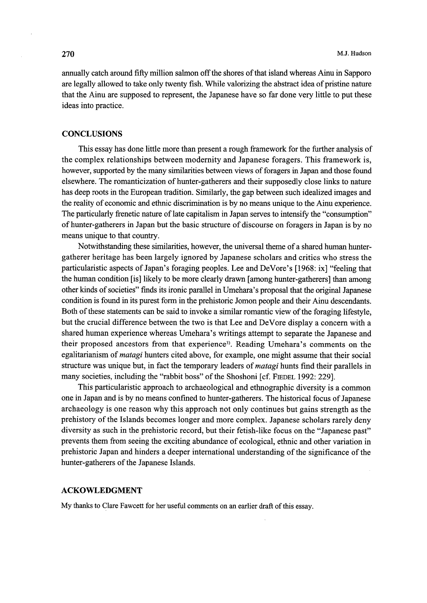annually catch around fifty mi11ion salmon offthe shores ofthat island whereas Ainu in Sapporo are legally allowed to take only twenty fish. While valorizing the abstract idea of pristine nature that the Ainu are supposed to represent, the Japanese have so far done very little to put these ideas into practice.

# **CONCLUSIONS**

This essay has done little more than present a rough framework for the further analysis of the complex relationships between modernity and Japanese fbragers. This framework is, however, supported by the many similarities between views of foragers in Japan and those found elsewhere. The romanticization of hunter-gatherers and their supposedly close links to nature has deep roots in the European tradition. Similariy, the gap between such idealized images and the reality of economic and ethnic discrimination is by no means unique to the Ainu experience. The particularly frenetic nature of late capitalism in Japan serves to intensify the "consumption" of hunter-gatherers in Japan but the basic structure of discourse on foragers in Japan is by no means unique to that country.

Notwithstanding these similarities, however, the universal theme of a shared human huntergatherer heritage has been largely ignored by Japanese scholars and critics who stress the particularistic aspects of Japan's foraging peoples. Lee and DeVore's [1968: ix] "feeling that the human condition [is] 1ikely to be more clearly drawn [among hunter-gatherers] than among other kmds ofsocieties" finds its ironic parallel in Umehara's proposal that the original Japanese condition is found in its purest forrn in the prehistoric Jomon people and their Ainu descendants. Both of these statements can be said to invoke a similar romantic view of the foraging lifestyle, but the crucial difference between the two is that Lee and DeVore display a concern with a shared human experience whereas Umehara's writings attempt to separate the Japanese and their proposed ancestors from that experience<sup>3)</sup>. Reading Umehara's comments on the egalitarianism of *matagi* hunters cited above, for example, one might assume that their social structure was unique but, in fact the temporary leaders of *matagi* hunts find their parallels in many societies, including the "rabbit boss" of the Shoshoni [cf. FIEDEL 1992: 229].

 This particularistic approach to archaeological and ethnographic diversity is a common one in Japan and is by no means confined to hunter-gatherers. The historical focus of Japanese archaeology is one reason why this approach not only continues but gains strength as the prehistory of the Islands becomes longer and more complex. Japanese scholars rarely deny diversity as such in the prehistoric record, but their fetish-like focus on the "Japanese past" prevents them from seeing the exciting abundance ofecological, ethnic and other variation in prehistoric Japan and hinders a deeper international understanding ofthe significance ofthe hunter-gatherers of the Japanese Islands.

## ACKOWLEDGMENT

My thanks to Clare Fawcett for her useful comments on an earlier draft of this essay.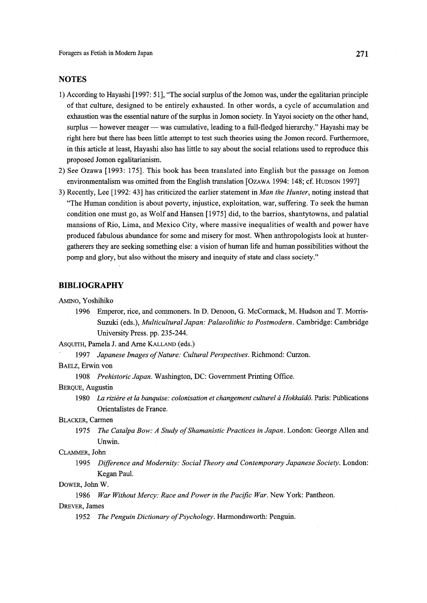Foragers as Fetish in Modern Japan 2008 and the settlement of the Second 2008 and 271

# **NOTES**

- 1) According to Hayashi [1997: 51], "The social surplus of the Jomon was, under the egalitarian principle of that culture, designed to be entirely exhausted. In other words, a cycle of accumulation and exhaustion was the essential nature of the surplus in Jomon society. In Yayoi society on the other hand, surplus - however meager - was cumulative, leading to a full-fledged hierarchy." Hayashi may be right here but there has been little attempt to test such theories using the Jomon record. Furthermore, in this article at least, Hayashi also has little to say about the social relations used to reprodnce this proposed Jomon egalitarianisin.
- 2) See Ozawa [1993: 175]. This book has been translated into English but the passage on Jomon environmentalism was omitted from the English translation [OzAwA 1994: 148; cf. Hupson 1997]
- 3) Recently, Lee [1992: 43] has criticized the earlier statement in Man the Hunter, noting instead that "The Human condition is about poverty, injustice, exploitation, war, suffering. To seek the human condition one must go, as Wolf and Hansen [1975] did, to the barrios, shantytowns, and palatial mansions of Rio, Lima, and Mexico City, where massive inequalities of wealth and power have produced fabulous abundance for some and misery for most. When anthropologists look at hunter gatherers they are seeking something else: a vision of human life and human possibilities without the pomp and glory, but also without the misery and inequity of state and class society."

## BIBLIOGRAPHY

AMiNo, Yoshihiko

 1996 Emperor, rice, and commoners. in D. Denoon, G. McCorrnack, M. Hudson and T. Morris- Suzuki (eds.), Multicultural Japan: Palaeolithic to Postmodern. Cambridge: Cambridge University Press. pp. 235-244.

AsQuiTH, Pamela J. and Arne KALLAND (eds.)

1997 Japanese Images of Nature: Cultural Perspectives. Richmond: Curzon.

BAELz, Erwin von

1908 Prehistoric Japan. Washington, DC: Government Printing Office.

BERQuE, Augustin

1980 La rizière et la banquise: colonisation et changement culturel à Hokkaïdô. Paris: Publications Orientalistes de France.

BLAcKER, Carmen

1975 The Catalpa Bow: A Study of Shamanistic Practices in Japan. London: George Allen and Unwin.

### CLAMMER, John

1995 Difference and Modernity: Social Theory and Contemporary Japanese Society. London: Kegan Paul.

## DowER, John W.

1986 War Without Mercy: Race and Power in the Pacific War. New York: Pantheon.

DREvER, James

1952 The Penguin Dictionary of Psychology. Harmondsworth: Penguin.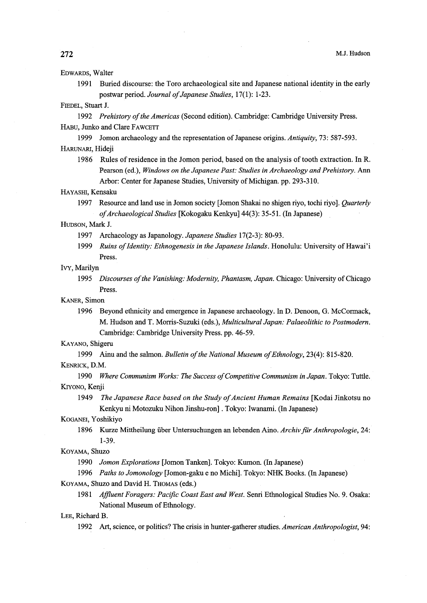# EDwARDs, Walter

 1991 Buried discourse: the Toro archaeological site and Japanese national identity in the early postwar period. Journal of Japanese Studies, 17(1): 1-23.

# FIEDEL, Stuart J.

1992 Prehistory of the Americas (Second edition). Cambridge: Cambridge University Press. HABU, Junko and Clare FAWCETT

- 1999 Jomon archaeology and the representation of Japanese origins. Antiquity, 73: 587-593. HARUNARI, Hideji
	- 1986 Rules ofresidence in the Jomon period, based on the analysis oftooth extraction. In R. Pearson (ed.), Windows on the Japanese Past: Studies in Archaeology and Prehistory. Ann Arbor: Center for Japanese Studies, University of Michigan. pp. 293-310.

#### HAyAsHI, Kensaku

1997 Resource and land use in Jomon society [Jomon Shakai no shigen riyo, tochi riyo]. Quarterly qfArchaeological Studies [Kokogaku Kenkyu] 44(3): 35-51. (In Japanese)

#### HuDsoN, Mark J.

- 1997 Archaeology as Japanology. *Japanese Studies* 17(2-3): 80-93.
- 1999 Ruins of Identity: Ethnogenesis in the Japanese Islands. Honolulu: University of Hawai'i Press.

# Ivy, Marilyn

1995 Discourses of the Vanishing: Modernity, Phantasm, Japan. Chicago: University of Chicago Press.

KANER, Simon

 1996 Beyond ethnicity and emergence in Japanese archaeology. In D. Denoon, G. McCormack, M. Hudson and T. Morris-Suzuki (eds.), Multicultural Japan: Palaeolithic to Postmodern. Cambridge: Cambridge University Press. pp. 46-59.

#### KAyANo, Shigeru

- 1999 Ainu and the salmon. Bulletin of the National Museum of Ethnology, 23(4): 815-820.
- KENRIcK, D.M.
- 1990 Where Communism Works: The Success of Competitive Communism in Japan. Tokyo: Tuttle. KIYONO, Kenji
	- 1949 The Japanese Race based on the Study of Ancient Human Remains [Kodai Jinkotsu no Kenkyu ni Mdtozuku Nihon Jinshu-ron] . Tokyo: Iwanami. (In Japanese)

#### KOGANEI, Yoshikiyo

1896 Kurze Mittheilung über Untersuchungen an lebenden Aino. Archiv für Anthropologie, 24: 1-39.

## KoyAMA, Shuzo

1990 Jomon Explorations [Jomon Tanken]. Tokyo: Kumon. (In Japanese)

1996 Paths to Jomonology [Jomon-gaku e no Michi]. Tokyo: NHK Books. (In Japanese) KoyAMA, Shuzo and David H. THoMAs (eds.)

1981 Affluent Foragers: Pacific Coast East and West. Senri Ethnological Studies No. 9. Osaka: National Museum of Ethnology.

1992 Art, science, or politics? The crisis in hunter-gatherer studies. American Anthropologist, 94: LEE, Net, it is a set of politics? The crisis in hunter-gatherer studies. American Anthropologist, 94: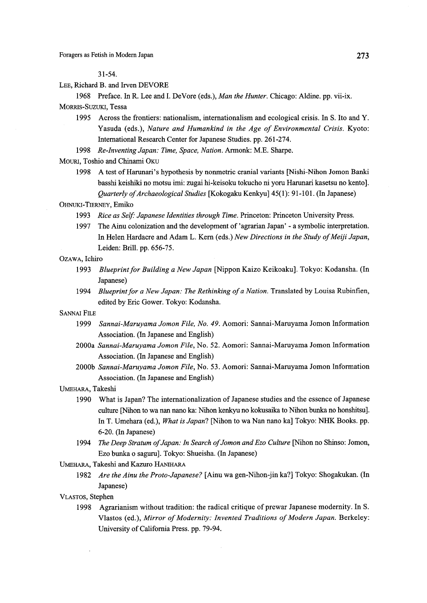31-54.

LEE, Richard B. and Irven DEVORE

1968 Preface. In R. Lee and I. DeVore (eds.), Man the Hunter. Chicago: Aldine. pp. vii-ix.

MoRRIs-SuzuKI, Tessa

- 1995 Across the frontiers: nationalism, internationalism and ecological crisis. In S. Ito and Y. Yasuda (eds.), Nature and Humankind in the Age of Environmental Crisis. Kyoto: lnternational Research Center for Japanese Studies. pp. 261-274.
- 1998 Re-Inventing Japan: Time, Space, Nation. Armonk: M.E. Sharpe.
- MouRi, Toshio and Chinami OKu
	- 1998 A test of Harunari's hypothesis by nonmetric cranial variants [Nishi-Nihon Jomon Banki basshi keishiki no motsu imi: zugai hi-keisoku tokucho ni yoru Harunari kasetsu no kento]. Quarterly of Archaeological Studies [Kokogaku Kenkyu] 45(1): 91-101. (In Japanese)

# OHNUKI-TIERNEy, Emiko

- 1993 Rice as Self: Japanese Identities through Time. Princeton: Princeton University Press.
- 1997 The Ainu colonization and the development of 'agrarian Japan' a symbolic interpretation. In Helen Hardacre and Adam L. Kern (eds.) New Directions in the Study of Meiji Japan, Leiden: Bri11. pp. 656-75.

#### OzAwA, Ichiro

- 1993 Blueprint for Building a New Japan [Nippon Kaizo Keikoaku]. Tokyo: Kodansha. (In Japanese)
- 1994 Blueprint for a New Japan: The Rethinking of a Nation. Translated by Louisa Rubinfien, edited by Eric Gower. Tokyo: Kodansha.

### SANNAI FILE

- 1999 Sannai-Maruyama Jomon File, No. 49. Aomori: Sannai-Maruyama Jomon Information Association. (In Japanese and English)
- 2000a Sannai-Maruyama Jomon File, No. 52. Aomori: Sannai-Maruyama Jomon Information Association. (In Japanese and English)
- 2000b Sannai-Maruyama Jomon File, No. 53. Aomori: Sannai-Maruyama Jomon Information Association. (ln Japanese and English)
- UMEHARA, Takeshi
	- 1990 What is Japan? The internationalization of Japanese studies and the essence of Japanese cuiture [Nihon to wa nan nano ka: Nihon kenkyu no kokusaika to Nihon bunka no honshitsu]. In T. Umehara (ed.), What is Japan? [Nihon to wa Nan nano ka] Tokyo: NHK Books. pp. 6-20. (ln Japanese)
	- 1994 The Deep Stratum of Japan: In Search of Jomon and Ezo Culture [Nihon no Shinso: Jomon, Ezo bunka o saguru]. Tokyo: Shueisha. (In Japanese)

UMEHARA, Takeshi and Kazuro HANIHARA

1982 Are the Ainu the Proto-Japanese? [Ainu wa gen-Nihon-jin ka?] Tokyo: Shogakukan. (In Japanese)

## VLAsTos, Stephen

1998 Agrarianism without tradition: the radical critique of prewar Japanese modernity. In S. Vlastos (ed.), Mirror of Modernity: Invented Traditions of Modern Japan. Berkeley: University of California Press. pp. 79-94.